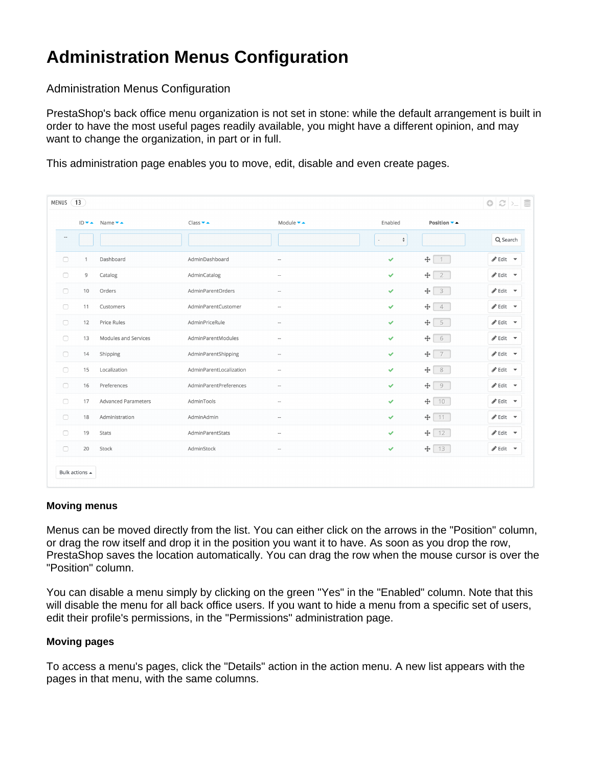## **Administration Menus Configuration**

Administration Menus Configuration

PrestaShop's back office menu organization is not set in stone: while the default arrangement is built in order to have the most useful pages readily available, you might have a different opinion, and may want to change the organization, in part or in full.

This administration page enables you to move, edit, disable and even create pages.

| MENUS (13           |                |                                       |                               |                            |                    |                                       | $\bigcirc$ $\bigcirc$ $\big  \bigcirc$ $\big $ |
|---------------------|----------------|---------------------------------------|-------------------------------|----------------------------|--------------------|---------------------------------------|------------------------------------------------|
|                     |                | ID <del>v</del> A Name <del>v</del> A | $Class \rightarrow \triangle$ | Module $\bullet$ $\bullet$ | Enabled            | Position ▼ ▲                          |                                                |
| $\hspace{0.05cm} -$ |                |                                       |                               |                            | $\hat{\mathbb{v}}$ |                                       | Q Search                                       |
| $\Box$              | 1              | Dashboard                             | AdminDashboard                | $\overline{a}$             | $\checkmark$       | $+$<br>$\bigcirc$                     | $\mathscr{P}$ Edit $\mathscr{P}$               |
| $\Box$              | 9              | Catalog                               | AdminCatalog                  | $\sim$                     | $\checkmark$       | $+$<br>$\overline{2}$                 | Sedit →                                        |
| $\Box$              | 10             | Orders                                | AdminParentOrders             | $\hspace{0.05cm} -$        | $\checkmark$       | $+$<br>$\overline{\mathbf{3}}$        | $\mathscr{P}$ Edit $\mathscr{P}$               |
| $\Box$              | 11             | Customers                             | AdminParentCustomer           | $\sim$                     | $\checkmark$       | $\ddot{\mathrm{t}}$<br>$\overline{4}$ | $\mathscr{P}$ Edit $\mathscr{P}$               |
| $\Box$              | 12             | Price Rules                           | AdminPriceRule                | $\hspace{0.05cm} -$        | $\checkmark$       | 5<br>$+$                              | $\mathscr{P}$ Edit $\mathscr{P}$               |
| $\Box$              | 13             | Modules and Services                  | AdminParentModules            | $\cdots$                   | $\checkmark$       | $+$<br>6                              | Sedit →                                        |
| $\Box$              | 14             | Shipping                              | AdminParentShipping           | $\overline{\phantom{a}}$   | $\checkmark$       | 7<br>$+$                              | $\mathscr{P}$ Edit $\mathscr{P}$               |
| $\Box$              | 15             | Localization                          | AdminParentLocalization       | $\cdots$                   | $\checkmark$       | $\overline{8}$<br>$+$                 | $\mathscr{P}$ Edit $\mathscr{P}$               |
| $\Box$              | 16             | Preferences                           | AdminParentPreferences        | $\hspace{0.05cm} -$        | $\checkmark$       | $\div$<br>9                           | $\mathscr{P}$ Edit $\mathscr{P}$               |
| $\Box$              | 17             | <b>Advanced Parameters</b>            | AdminTools                    | $\cdots$                   | $\checkmark$       | $+$<br>$10 -$                         | Sedit →                                        |
| $\Box$              | 18             | Administration                        | AdminAdmin                    | $\overline{\phantom{a}}$   | $\checkmark$       | $11 -$<br>$+ $                        | d <sup>*</sup> Edit →                          |
| $\Box$              | 19             | Stats                                 | AdminParentStats              | $\cdots$                   | v                  | 12<br>$+$                             | Sedit →                                        |
| $\Box$              | 20             | Stock                                 | AdminStock                    | $\overline{\phantom{a}}$   | ✔                  | 13<br>$+$                             | Sedit →                                        |
|                     | Bulk actions ▲ |                                       |                               |                            |                    |                                       |                                                |

## **Moving menus**

Menus can be moved directly from the list. You can either click on the arrows in the "Position" column, or drag the row itself and drop it in the position you want it to have. As soon as you drop the row, PrestaShop saves the location automatically. You can drag the row when the mouse cursor is over the "Position" column.

You can disable a menu simply by clicking on the green "Yes" in the "Enabled" column. Note that this will disable the menu for all back office users. If you want to hide a menu from a specific set of users, edit their profile's permissions, in the "Permissions" administration page.

## **Moving pages**

To access a menu's pages, click the "Details" action in the action menu. A new list appears with the pages in that menu, with the same columns.